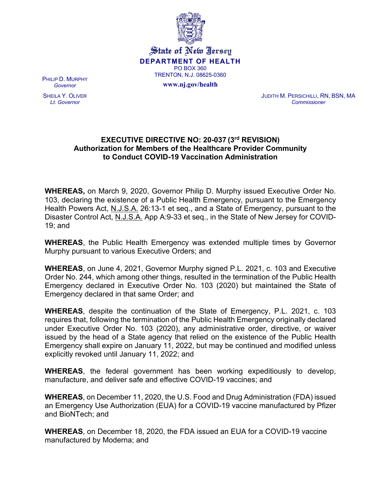

State of New Jersey **DEPARTMENT OF HEALTH** PO BOX 360 TRENTON, N.J. 08625-0360

**www.nj.gov/health**

PHILIP D. MURPHY *Governor*

SHEILA Y. OLIVER *Lt. Governor*

JUDITH M. PERSICHILLI, RN, BSN, MA *Commissioner*

## **EXECUTIVE DIRECTIVE NO: 20-037 (3rd REVISION) Authorization for Members of the Healthcare Provider Community to Conduct COVID-19 Vaccination Administration**

**WHEREAS,** on March 9, 2020, Governor Philip D. Murphy issued Executive Order No. 103, declaring the existence of a Public Health Emergency, pursuant to the Emergency Health Powers Act, N.J.S.A. 26:13-1 et seq., and a State of Emergency, pursuant to the Disaster Control Act, N.J.S.A. App A:9-33 et seq., in the State of New Jersey for COVID-19; and

**WHEREAS**, the Public Health Emergency was extended multiple times by Governor Murphy pursuant to various Executive Orders; and

**WHEREAS**, on June 4, 2021, Governor Murphy signed P.L. 2021, c. 103 and Executive Order No. 244, which among other things, resulted in the termination of the Public Health Emergency declared in Executive Order No. 103 (2020) but maintained the State of Emergency declared in that same Order; and

**WHEREAS**, despite the continuation of the State of Emergency, P.L. 2021, c. 103 requires that, following the termination of the Public Health Emergency originally declared under Executive Order No. 103 (2020), any administrative order, directive, or waiver issued by the head of a State agency that relied on the existence of the Public Health Emergency shall expire on January 11, 2022, but may be continued and modified unless explicitly revoked until January 11, 2022; and

**WHEREAS**, the federal government has been working expeditiously to develop, manufacture, and deliver safe and effective COVID-19 vaccines; and

**WHEREAS**, on December 11, 2020, the U.S. Food and Drug Administration (FDA) issued an Emergency Use Authorization (EUA) for a COVID-19 vaccine manufactured by Pfizer and BioNTech; and

**WHEREAS**, on December 18, 2020, the FDA issued an EUA for a COVID-19 vaccine manufactured by Moderna; and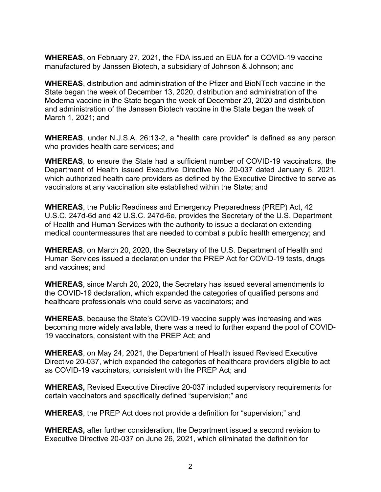**WHEREAS**, on February 27, 2021, the FDA issued an EUA for a COVID-19 vaccine manufactured by Janssen Biotech, a subsidiary of Johnson & Johnson; and

**WHEREAS**, distribution and administration of the Pfizer and BioNTech vaccine in the State began the week of December 13, 2020, distribution and administration of the Moderna vaccine in the State began the week of December 20, 2020 and distribution and administration of the Janssen Biotech vaccine in the State began the week of March 1, 2021; and

**WHEREAS**, under N.J.S.A. 26:13-2, a "health care provider" is defined as any person who provides health care services; and

**WHEREAS**, to ensure the State had a sufficient number of COVID-19 vaccinators, the Department of Health issued Executive Directive No. 20-037 dated January 6, 2021, which authorized health care providers as defined by the Executive Directive to serve as vaccinators at any vaccination site established within the State; and

**WHEREAS**, the Public Readiness and Emergency Preparedness (PREP) Act, 42 U.S.C. 247d-6d and 42 U.S.C. 247d-6e, provides the Secretary of the U.S. Department of Health and Human Services with the authority to issue a declaration extending medical countermeasures that are needed to combat a public health emergency; and

**WHEREAS**, on March 20, 2020, the Secretary of the U.S. Department of Health and Human Services issued a declaration under the PREP Act for COVID-19 tests, drugs and vaccines; and

**WHEREAS**, since March 20, 2020, the Secretary has issued several amendments to the COVID-19 declaration, which expanded the categories of qualified persons and healthcare professionals who could serve as vaccinators; and

**WHEREAS**, because the State's COVID-19 vaccine supply was increasing and was becoming more widely available, there was a need to further expand the pool of COVID-19 vaccinators, consistent with the PREP Act; and

**WHEREAS**, on May 24, 2021, the Department of Health issued Revised Executive Directive 20-037, which expanded the categories of healthcare providers eligible to act as COVID-19 vaccinators, consistent with the PREP Act; and

**WHEREAS,** Revised Executive Directive 20-037 included supervisory requirements for certain vaccinators and specifically defined "supervision;" and

**WHEREAS**, the PREP Act does not provide a definition for "supervision;" and

**WHEREAS,** after further consideration, the Department issued a second revision to Executive Directive 20-037 on June 26, 2021, which eliminated the definition for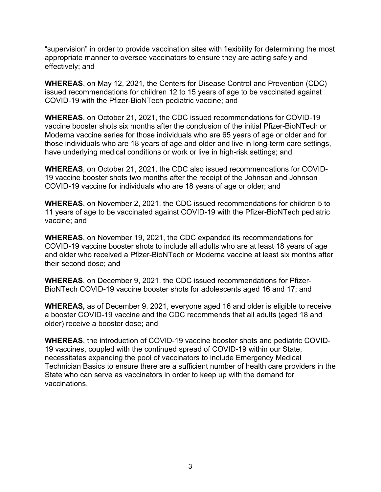"supervision" in order to provide vaccination sites with flexibility for determining the most appropriate manner to oversee vaccinators to ensure they are acting safely and effectively; and

**WHEREAS**, on May 12, 2021, the Centers for Disease Control and Prevention (CDC) issued recommendations for children 12 to 15 years of age to be vaccinated against COVID-19 with the Pfizer-BioNTech pediatric vaccine; and

**WHEREAS**, on October 21, 2021, the CDC issued recommendations for COVID-19 vaccine booster shots six months after the conclusion of the initial Pfizer-BioNTech or Moderna vaccine series for those individuals who are 65 years of age or older and for those individuals who are 18 years of age and older and live in long-term care settings, have underlying medical conditions or work or live in high-risk settings; and

**WHEREAS**, on October 21, 2021, the CDC also issued recommendations for COVID-19 vaccine booster shots two months after the receipt of the Johnson and Johnson COVID-19 vaccine for individuals who are 18 years of age or older; and

**WHEREAS**, on November 2, 2021, the CDC issued recommendations for children 5 to 11 years of age to be vaccinated against COVID-19 with the Pfizer-BioNTech pediatric vaccine; and

**WHEREAS**, on November 19, 2021, the CDC expanded its recommendations for COVID-19 vaccine booster shots to include all adults who are at least 18 years of age and older who received a Pfizer-BioNTech or Moderna vaccine at least six months after their second dose; and

**WHEREAS**, on December 9, 2021, the CDC issued recommendations for Pfizer-BioNTech COVID-19 vaccine booster shots for adolescents aged 16 and 17; and

**WHEREAS,** as of December 9, 2021, everyone aged 16 and older is eligible to receive a booster COVID-19 vaccine and the CDC recommends that all adults (aged 18 and older) receive a booster dose; and

**WHEREAS**, the introduction of COVID-19 vaccine booster shots and pediatric COVID-19 vaccines, coupled with the continued spread of COVID-19 within our State, necessitates expanding the pool of vaccinators to include Emergency Medical Technician Basics to ensure there are a sufficient number of health care providers in the State who can serve as vaccinators in order to keep up with the demand for vaccinations.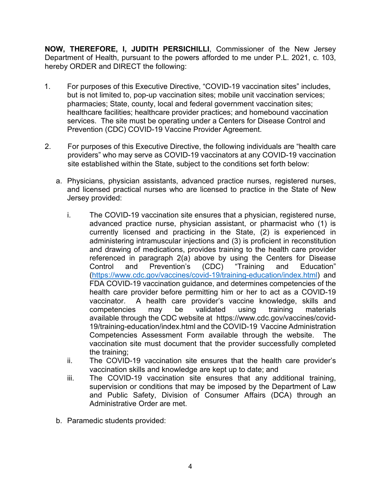**NOW, THEREFORE, I, JUDITH PERSICHILLI**, Commissioner of the New Jersey Department of Health, pursuant to the powers afforded to me under P.L. 2021, c. 103, hereby ORDER and DIRECT the following:

- 1. For purposes of this Executive Directive, "COVID-19 vaccination sites" includes, but is not limited to, pop-up vaccination sites; mobile unit vaccination services; pharmacies; State, county, local and federal government vaccination sites; healthcare facilities; healthcare provider practices; and homebound vaccination services. The site must be operating under a Centers for Disease Control and Prevention (CDC) COVID-19 Vaccine Provider Agreement.
- 2. For purposes of this Executive Directive, the following individuals are "health care providers" who may serve as COVID-19 vaccinators at any COVID-19 vaccination site established within the State, subject to the conditions set forth below:
	- a. Physicians, physician assistants, advanced practice nurses, registered nurses, and licensed practical nurses who are licensed to practice in the State of New Jersey provided:
		- i. The COVID-19 vaccination site ensures that a physician, registered nurse, advanced practice nurse, physician assistant, or pharmacist who (1) is currently licensed and practicing in the State, (2) is experienced in administering intramuscular injections and (3) is proficient in reconstitution and drawing of medications, provides training to the health care provider referenced in paragraph 2(a) above by using the Centers for Disease<br>Control and Prevention's (CDC) "Training and Education" Control and Prevention's (CDC) "Training and Education" (https://www.cdc.gov/vaccines/covid-19/training-education/index.html) and FDA COVID-19 vaccination guidance, and determines competencies of the health care provider before permitting him or her to act as a COVID-19 vaccinator. A health care provider's vaccine knowledge, skills and competencies may be validated using training materials available through the CDC website at https://www.cdc.gov/vaccines/covid-19/training-education/index.html and the COVID-19 Vaccine Administration Competencies Assessment Form available through the website. The vaccination site must document that the provider successfully completed the training;
		- ii. The COVID-19 vaccination site ensures that the health care provider's vaccination skills and knowledge are kept up to date; and
		- iii. The COVID-19 vaccination site ensures that any additional training, supervision or conditions that may be imposed by the Department of Law and Public Safety, Division of Consumer Affairs (DCA) through an Administrative Order are met.
	- b. Paramedic students provided: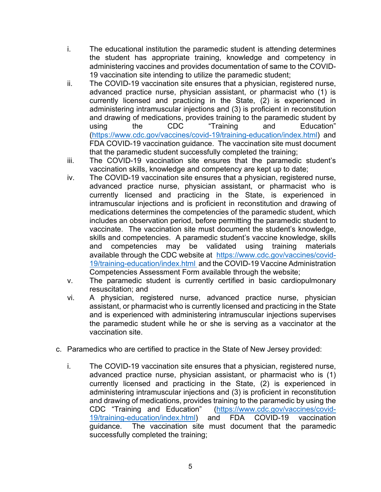- i. The educational institution the paramedic student is attending determines the student has appropriate training, knowledge and competency in administering vaccines and provides documentation of same to the COVID-19 vaccination site intending to utilize the paramedic student;
- ii. The COVID-19 vaccination site ensures that a physician, registered nurse, advanced practice nurse, physician assistant, or pharmacist who (1) is currently licensed and practicing in the State, (2) is experienced in administering intramuscular injections and (3) is proficient in reconstitution and drawing of medications, provides training to the paramedic student by using the CDC "Training and Education" (https://www.cdc.gov/vaccines/covid-19/training-education/index.html) and FDA COVID-19 vaccination guidance. The vaccination site must document that the paramedic student successfully completed the training;
- iii. The COVID-19 vaccination site ensures that the paramedic student's vaccination skills, knowledge and competency are kept up to date;
- iv. The COVID-19 vaccination site ensures that a physician, registered nurse, advanced practice nurse, physician assistant, or pharmacist who is currently licensed and practicing in the State, is experienced in intramuscular injections and is proficient in reconstitution and drawing of medications determines the competencies of the paramedic student, which includes an observation period, before permitting the paramedic student to vaccinate. The vaccination site must document the student's knowledge, skills and competencies. A paramedic student's vaccine knowledge, skills and competencies may be validated using training materials available through the CDC website at https://www.cdc.gov/vaccines/covid-19/training-education/index.html and the COVID-19 Vaccine Administration Competencies Assessment Form available through the website;
- v. The paramedic student is currently certified in basic cardiopulmonary resuscitation; and
- vi. A physician, registered nurse, advanced practice nurse, physician assistant, or pharmacist who is currently licensed and practicing in the State and is experienced with administering intramuscular injections supervises the paramedic student while he or she is serving as a vaccinator at the vaccination site.
- c. Paramedics who are certified to practice in the State of New Jersey provided:
	- i. The COVID-19 vaccination site ensures that a physician, registered nurse, advanced practice nurse, physician assistant, or pharmacist who is (1) currently licensed and practicing in the State, (2) is experienced in administering intramuscular injections and (3) is proficient in reconstitution and drawing of medications, provides training to the paramedic by using the CDC "Training and Education" (https://www.cdc.gov/vaccines/covid-19/training-education/index.html) and FDA COVID-19 vaccination guidance. The vaccination site must document that the paramedic successfully completed the training;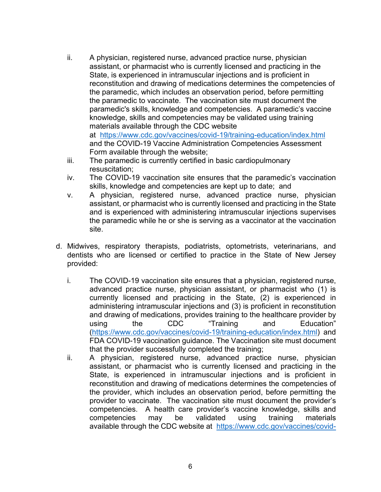- ii. A physician, registered nurse, advanced practice nurse, physician assistant, or pharmacist who is currently licensed and practicing in the State, is experienced in intramuscular injections and is proficient in reconstitution and drawing of medications determines the competencies of the paramedic, which includes an observation period, before permitting the paramedic to vaccinate. The vaccination site must document the paramedic's skills, knowledge and competencies. A paramedic's vaccine knowledge, skills and competencies may be validated using training materials available through the CDC website at https://www.cdc.gov/vaccines/covid-19/training-education/index.html and the COVID-19 Vaccine Administration Competencies Assessment Form available through the website;
- iii. The paramedic is currently certified in basic cardiopulmonary resuscitation;
- iv. The COVID-19 vaccination site ensures that the paramedic's vaccination skills, knowledge and competencies are kept up to date; and
- v. A physician, registered nurse, advanced practice nurse, physician assistant, or pharmacist who is currently licensed and practicing in the State and is experienced with administering intramuscular injections supervises the paramedic while he or she is serving as a vaccinator at the vaccination site.
- d. Midwives, respiratory therapists, podiatrists, optometrists, veterinarians, and dentists who are licensed or certified to practice in the State of New Jersey provided:
	- i. The COVID-19 vaccination site ensures that a physician, registered nurse, advanced practice nurse, physician assistant, or pharmacist who (1) is currently licensed and practicing in the State, (2) is experienced in administering intramuscular injections and (3) is proficient in reconstitution and drawing of medications, provides training to the healthcare provider by using the CDC "Training and Education" (https://www.cdc.gov/vaccines/covid-19/training-education/index.html) and FDA COVID-19 vaccination guidance. The Vaccination site must document that the provider successfully completed the training;
	- ii. A physician, registered nurse, advanced practice nurse, physician assistant, or pharmacist who is currently licensed and practicing in the State, is experienced in intramuscular injections and is proficient in reconstitution and drawing of medications determines the competencies of the provider, which includes an observation period, before permitting the provider to vaccinate. The vaccination site must document the provider's competencies. A health care provider's vaccine knowledge, skills and competencies may be validated using training materials available through the CDC website at https://www.cdc.gov/vaccines/covid-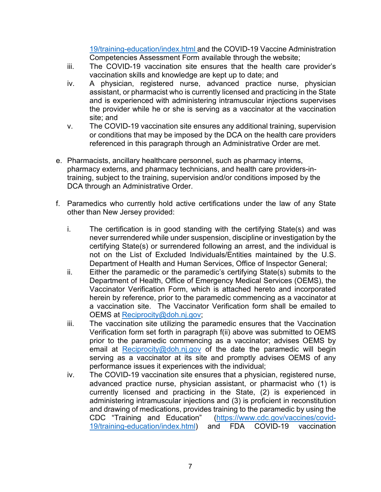19/training-education/index.html and the COVID-19 Vaccine Administration Competencies Assessment Form available through the website;

- iii. The COVID-19 vaccination site ensures that the health care provider's vaccination skills and knowledge are kept up to date; and
- iv. A physician, registered nurse, advanced practice nurse, physician assistant, or pharmacist who is currently licensed and practicing in the State and is experienced with administering intramuscular injections supervises the provider while he or she is serving as a vaccinator at the vaccination site; and
- v. The COVID-19 vaccination site ensures any additional training, supervision or conditions that may be imposed by the DCA on the health care providers referenced in this paragraph through an Administrative Order are met.
- e. Pharmacists, ancillary healthcare personnel, such as pharmacy interns, pharmacy externs, and pharmacy technicians, and health care providers-intraining, subject to the training, supervision and/or conditions imposed by the DCA through an Administrative Order.
- f. Paramedics who currently hold active certifications under the law of any State other than New Jersey provided:
	- i. The certification is in good standing with the certifying State(s) and was never surrendered while under suspension, discipline or investigation by the certifying State(s) or surrendered following an arrest, and the individual is not on the List of Excluded Individuals/Entities maintained by the U.S. Department of Health and Human Services, Office of Inspector General;
	- ii. Either the paramedic or the paramedic's certifying State(s) submits to the Department of Health, Office of Emergency Medical Services (OEMS), the Vaccinator Verification Form, which is attached hereto and incorporated herein by reference, prior to the paramedic commencing as a vaccinator at a vaccination site. The Vaccinator Verification form shall be emailed to OEMS at Reciprocity@doh.nj.gov;
	- iii. The vaccination site utilizing the paramedic ensures that the Vaccination Verification form set forth in paragraph f(ii) above was submitted to OEMS prior to the paramedic commencing as a vaccinator; advises OEMS by email at Reciprocity@doh.nj.gov of the date the paramedic will begin serving as a vaccinator at its site and promptly advises OEMS of any performance issues it experiences with the individual;
	- iv. The COVID-19 vaccination site ensures that a physician, registered nurse, advanced practice nurse, physician assistant, or pharmacist who (1) is currently licensed and practicing in the State, (2) is experienced in administering intramuscular injections and (3) is proficient in reconstitution and drawing of medications, provides training to the paramedic by using the CDC "Training and Education" (https://www.cdc.gov/vaccines/covid-19/training-education/index.html) and FDA COVID-19 vaccination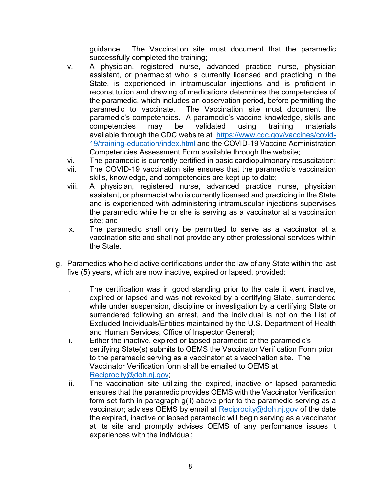guidance. The Vaccination site must document that the paramedic successfully completed the training;

- v. A physician, registered nurse, advanced practice nurse, physician assistant, or pharmacist who is currently licensed and practicing in the State, is experienced in intramuscular injections and is proficient in reconstitution and drawing of medications determines the competencies of the paramedic, which includes an observation period, before permitting the paramedic to vaccinate. The Vaccination site must document the paramedic's competencies. A paramedic's vaccine knowledge, skills and competencies may be validated using training materials available through the CDC website at https://www.cdc.gov/vaccines/covid-19/training-education/index.html and the COVID-19 Vaccine Administration Competencies Assessment Form available through the website;
- vi. The paramedic is currently certified in basic cardiopulmonary resuscitation;
- vii. The COVID-19 vaccination site ensures that the paramedic's vaccination skills, knowledge, and competencies are kept up to date;
- viii. A physician, registered nurse, advanced practice nurse, physician assistant, or pharmacist who is currently licensed and practicing in the State and is experienced with administering intramuscular injections supervises the paramedic while he or she is serving as a vaccinator at a vaccination site; and
- ix. The paramedic shall only be permitted to serve as a vaccinator at a vaccination site and shall not provide any other professional services within the State.
- g. Paramedics who held active certifications under the law of any State within the last five (5) years, which are now inactive, expired or lapsed, provided:
	- i. The certification was in good standing prior to the date it went inactive, expired or lapsed and was not revoked by a certifying State, surrendered while under suspension, discipline or investigation by a certifying State or surrendered following an arrest, and the individual is not on the List of Excluded Individuals/Entities maintained by the U.S. Department of Health and Human Services, Office of Inspector General;
	- ii. Either the inactive, expired or lapsed paramedic or the paramedic's certifying State(s) submits to OEMS the Vaccinator Verification Form prior to the paramedic serving as a vaccinator at a vaccination site. The Vaccinator Verification form shall be emailed to OEMS at Reciprocity@doh.nj.gov;
	- iii. The vaccination site utilizing the expired, inactive or lapsed paramedic ensures that the paramedic provides OEMS with the Vaccinator Verification form set forth in paragraph g(ii) above prior to the paramedic serving as a vaccinator; advises OEMS by email at Reciprocity@doh.nj.gov of the date the expired, inactive or lapsed paramedic will begin serving as a vaccinator at its site and promptly advises OEMS of any performance issues it experiences with the individual;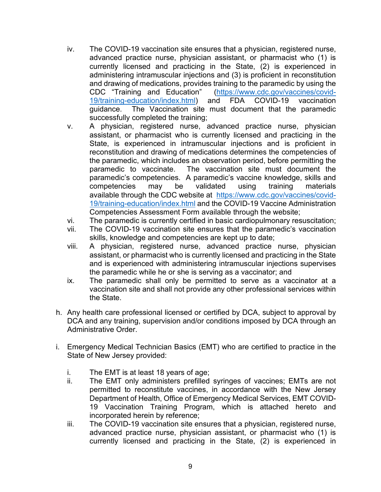- iv. The COVID-19 vaccination site ensures that a physician, registered nurse, advanced practice nurse, physician assistant, or pharmacist who (1) is currently licensed and practicing in the State, (2) is experienced in administering intramuscular injections and (3) is proficient in reconstitution and drawing of medications, provides training to the paramedic by using the CDC "Training and Education" (https://www.cdc.gov/vaccines/covid-19/training-education/index.html) and FDA COVID-19 vaccination guidance. The Vaccination site must document that the paramedic successfully completed the training;
- v. A physician, registered nurse, advanced practice nurse, physician assistant, or pharmacist who is currently licensed and practicing in the State, is experienced in intramuscular injections and is proficient in reconstitution and drawing of medications determines the competencies of the paramedic, which includes an observation period, before permitting the paramedic to vaccinate. The vaccination site must document the paramedic's competencies. A paramedic's vaccine knowledge, skills and competencies may be validated using training materials available through the CDC website at https://www.cdc.gov/vaccines/covid-19/training-education/index.html and the COVID-19 Vaccine Administration Competencies Assessment Form available through the website;
- vi. The paramedic is currently certified in basic cardiopulmonary resuscitation;
- vii. The COVID-19 vaccination site ensures that the paramedic's vaccination skills, knowledge and competencies are kept up to date;
- viii. A physician, registered nurse, advanced practice nurse, physician assistant, or pharmacist who is currently licensed and practicing in the State and is experienced with administering intramuscular injections supervises the paramedic while he or she is serving as a vaccinator; and
- ix. The paramedic shall only be permitted to serve as a vaccinator at a vaccination site and shall not provide any other professional services within the State.
- h. Any health care professional licensed or certified by DCA, subject to approval by DCA and any training, supervision and/or conditions imposed by DCA through an Administrative Order.
- i. Emergency Medical Technician Basics (EMT) who are certified to practice in the State of New Jersey provided:
	- i. The EMT is at least 18 years of age;
	- ii. The EMT only administers prefilled syringes of vaccines; EMTs are not permitted to reconstitute vaccines, in accordance with the New Jersey Department of Health, Office of Emergency Medical Services, EMT COVID-19 Vaccination Training Program, which is attached hereto and incorporated herein by reference;
	- iii. The COVID-19 vaccination site ensures that a physician, registered nurse, advanced practice nurse, physician assistant, or pharmacist who (1) is currently licensed and practicing in the State, (2) is experienced in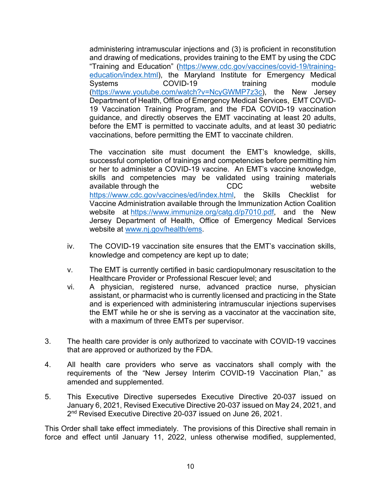administering intramuscular injections and (3) is proficient in reconstitution and drawing of medications, provides training to the EMT by using the CDC "Training and Education" (https://www.cdc.gov/vaccines/covid-19/trainingeducation/index.html), the Maryland Institute for Emergency Medical COVID-19 training module (https://www.youtube.com/watch?v=NcyGWMP7z3c), the New Jersey Department of Health, Office of Emergency Medical Services, EMT COVID-19 Vaccination Training Program, and the FDA COVID-19 vaccination guidance, and directly observes the EMT vaccinating at least 20 adults, before the EMT is permitted to vaccinate adults, and at least 30 pediatric vaccinations, before permitting the EMT to vaccinate children.

The vaccination site must document the EMT's knowledge, skills, successful completion of trainings and competencies before permitting him or her to administer a COVID-19 vaccine. An EMT's vaccine knowledge, skills and competencies may be validated using training materials available through the CDC website https://www.cdc.gov/vaccines/ed/index.html, the Skills Checklist for Vaccine Administration available through the Immunization Action Coalition website at https://www.immunize.org/catg.d/p7010.pdf, and the New Jersey Department of Health, Office of Emergency Medical Services website at www.nj.gov/health/ems.

- iv. The COVID-19 vaccination site ensures that the EMT's vaccination skills, knowledge and competency are kept up to date;
- v. The EMT is currently certified in basic cardiopulmonary resuscitation to the Healthcare Provider or Professional Rescuer level; and
- vi. A physician, registered nurse, advanced practice nurse, physician assistant, or pharmacist who is currently licensed and practicing in the State and is experienced with administering intramuscular injections supervises the EMT while he or she is serving as a vaccinator at the vaccination site, with a maximum of three EMTs per supervisor.
- 3. The health care provider is only authorized to vaccinate with COVID-19 vaccines that are approved or authorized by the FDA.
- 4. All health care providers who serve as vaccinators shall comply with the requirements of the "New Jersey Interim COVID-19 Vaccination Plan," as amended and supplemented.
- 5. This Executive Directive supersedes Executive Directive 20-037 issued on January 6, 2021, Revised Executive Directive 20-037 issued on May 24, 2021, and 2<sup>nd</sup> Revised Executive Directive 20-037 issued on June 26, 2021.

This Order shall take effect immediately. The provisions of this Directive shall remain in force and effect until January 11, 2022, unless otherwise modified, supplemented,